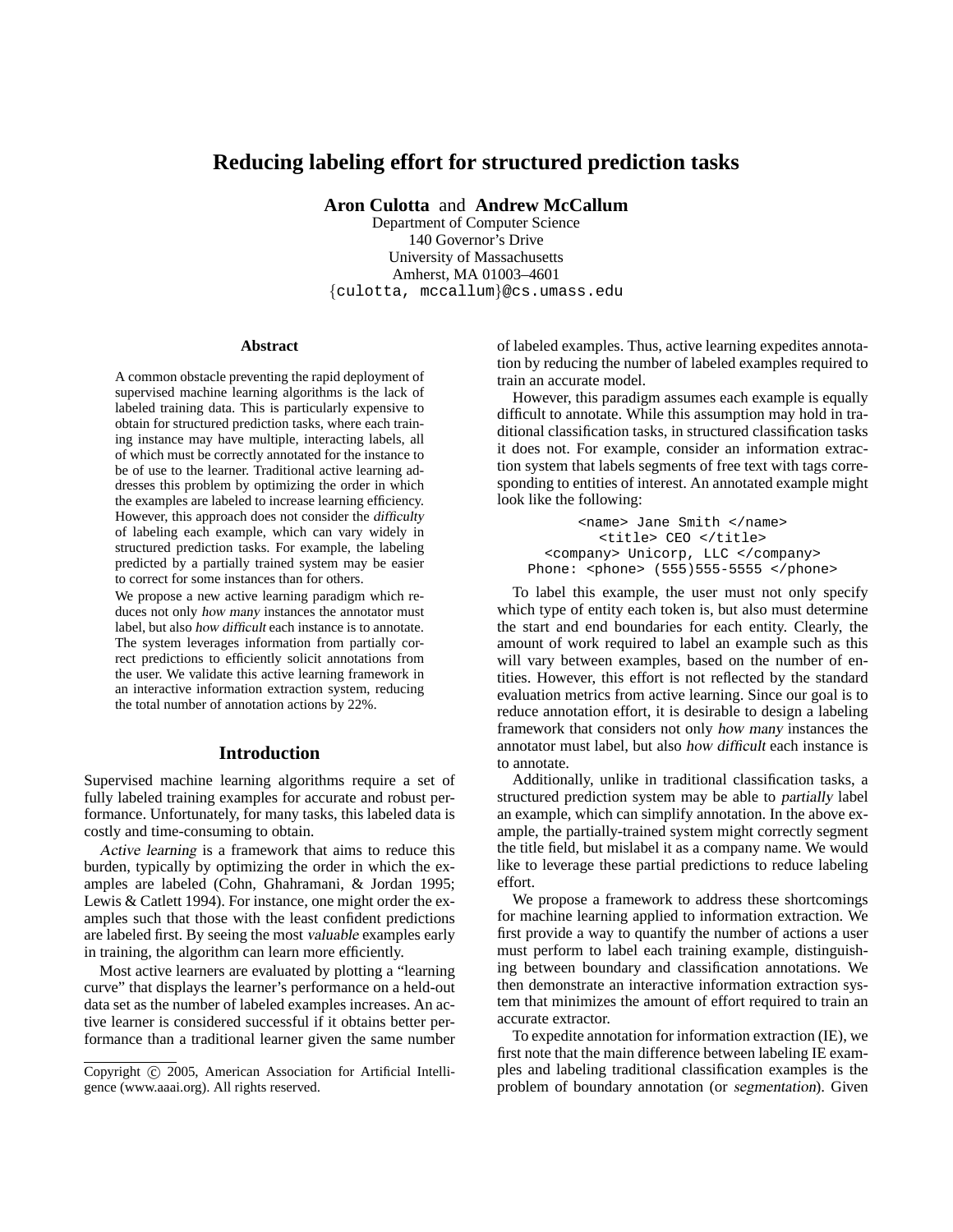# **Reducing labeling effort for structured prediction tasks**

**Aron Culotta** and **Andrew McCallum**

Department of Computer Science 140 Governor's Drive University of Massachusetts Amherst, MA 01003–4601 {culotta, mccallum}@cs.umass.edu

#### **Abstract**

A common obstacle preventing the rapid deployment of supervised machine learning algorithms is the lack of labeled training data. This is particularly expensive to obtain for structured prediction tasks, where each training instance may have multiple, interacting labels, all of which must be correctly annotated for the instance to be of use to the learner. Traditional active learning addresses this problem by optimizing the order in which the examples are labeled to increase learning efficiency. However, this approach does not consider the difficulty of labeling each example, which can vary widely in structured prediction tasks. For example, the labeling predicted by a partially trained system may be easier to correct for some instances than for others.

We propose a new active learning paradigm which reduces not only how many instances the annotator must label, but also how difficult each instance is to annotate. The system leverages information from partially correct predictions to efficiently solicit annotations from the user. We validate this active learning framework in an interactive information extraction system, reducing the total number of annotation actions by 22%.

## **Introduction**

Supervised machine learning algorithms require a set of fully labeled training examples for accurate and robust performance. Unfortunately, for many tasks, this labeled data is costly and time-consuming to obtain.

Active learning is a framework that aims to reduce this burden, typically by optimizing the order in which the examples are labeled (Cohn, Ghahramani, & Jordan 1995; Lewis & Catlett 1994). For instance, one might order the examples such that those with the least confident predictions are labeled first. By seeing the most valuable examples early in training, the algorithm can learn more efficiently.

Most active learners are evaluated by plotting a "learning curve" that displays the learner's performance on a held-out data set as the number of labeled examples increases. An active learner is considered successful if it obtains better performance than a traditional learner given the same number of labeled examples. Thus, active learning expedites annotation by reducing the number of labeled examples required to train an accurate model.

However, this paradigm assumes each example is equally difficult to annotate. While this assumption may hold in traditional classification tasks, in structured classification tasks it does not. For example, consider an information extraction system that labels segments of free text with tags corresponding to entities of interest. An annotated example might look like the following:

<name> Jane Smith </name> <title> CEO </title> <company> Unicorp, LLC </company> Phone: <phone> (555)555-5555 </phone>

To label this example, the user must not only specify which type of entity each token is, but also must determine the start and end boundaries for each entity. Clearly, the amount of work required to label an example such as this will vary between examples, based on the number of entities. However, this effort is not reflected by the standard evaluation metrics from active learning. Since our goal is to reduce annotation effort, it is desirable to design a labeling framework that considers not only how many instances the annotator must label, but also how difficult each instance is to annotate.

Additionally, unlike in traditional classification tasks, a structured prediction system may be able to partially label an example, which can simplify annotation. In the above example, the partially-trained system might correctly segment the title field, but mislabel it as a company name. We would like to leverage these partial predictions to reduce labeling effort.

We propose a framework to address these shortcomings for machine learning applied to information extraction. We first provide a way to quantify the number of actions a user must perform to label each training example, distinguishing between boundary and classification annotations. We then demonstrate an interactive information extraction system that minimizes the amount of effort required to train an accurate extractor.

To expedite annotation for information extraction (IE), we first note that the main difference between labeling IE examples and labeling traditional classification examples is the problem of boundary annotation (or segmentation). Given

Copyright (c) 2005, American Association for Artificial Intelligence (www.aaai.org). All rights reserved.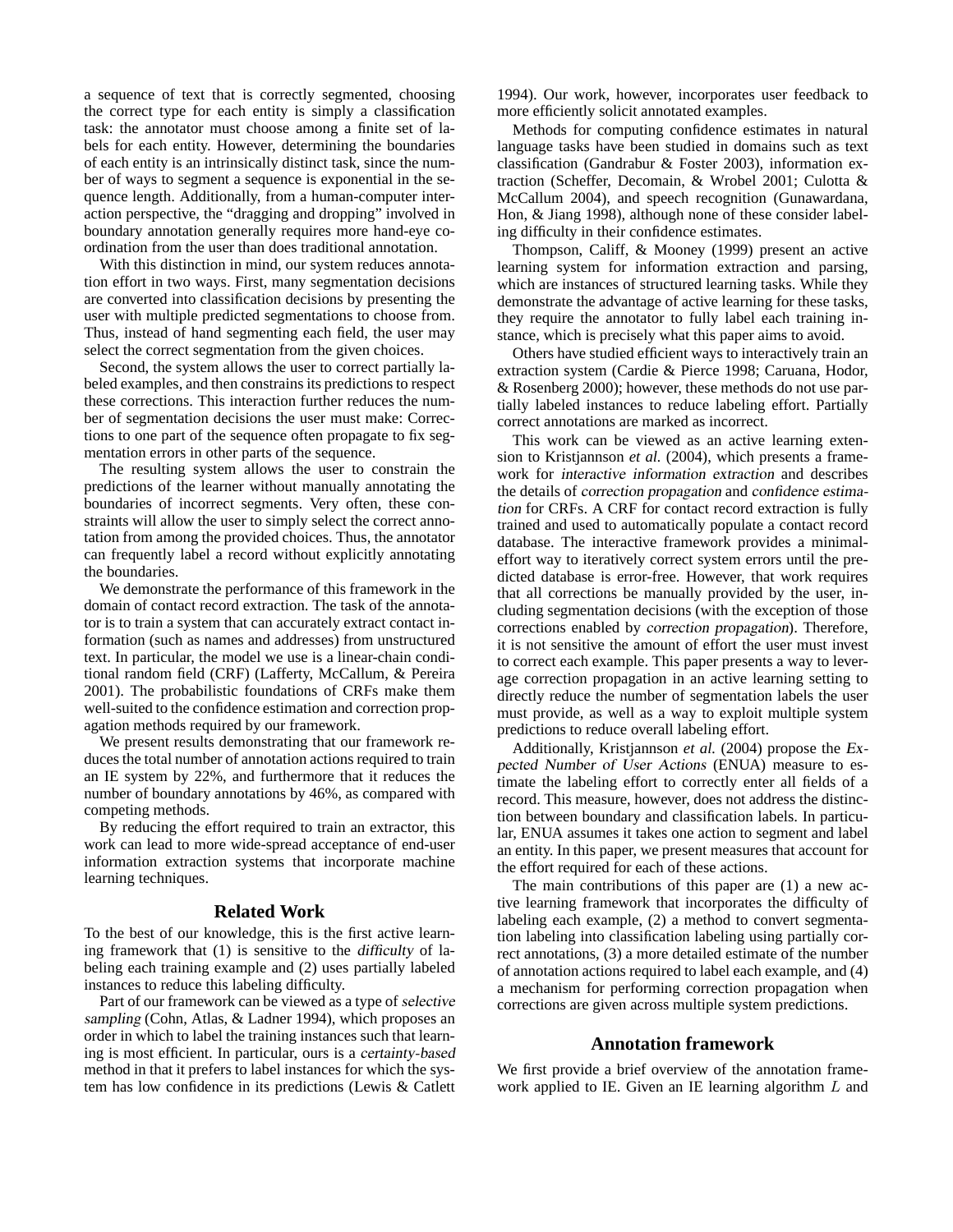a sequence of text that is correctly segmented, choosing the correct type for each entity is simply a classification task: the annotator must choose among a finite set of labels for each entity. However, determining the boundaries of each entity is an intrinsically distinct task, since the number of ways to segment a sequence is exponential in the sequence length. Additionally, from a human-computer interaction perspective, the "dragging and dropping" involved in boundary annotation generally requires more hand-eye coordination from the user than does traditional annotation.

With this distinction in mind, our system reduces annotation effort in two ways. First, many segmentation decisions are converted into classification decisions by presenting the user with multiple predicted segmentations to choose from. Thus, instead of hand segmenting each field, the user may select the correct segmentation from the given choices.

Second, the system allows the user to correct partially labeled examples, and then constrains its predictions to respect these corrections. This interaction further reduces the number of segmentation decisions the user must make: Corrections to one part of the sequence often propagate to fix segmentation errors in other parts of the sequence.

The resulting system allows the user to constrain the predictions of the learner without manually annotating the boundaries of incorrect segments. Very often, these constraints will allow the user to simply select the correct annotation from among the provided choices. Thus, the annotator can frequently label a record without explicitly annotating the boundaries.

We demonstrate the performance of this framework in the domain of contact record extraction. The task of the annotator is to train a system that can accurately extract contact information (such as names and addresses) from unstructured text. In particular, the model we use is a linear-chain conditional random field (CRF) (Lafferty, McCallum, & Pereira 2001). The probabilistic foundations of CRFs make them well-suited to the confidence estimation and correction propagation methods required by our framework.

We present results demonstrating that our framework reduces the total number of annotation actions required to train an IE system by 22%, and furthermore that it reduces the number of boundary annotations by 46%, as compared with competing methods.

By reducing the effort required to train an extractor, this work can lead to more wide-spread acceptance of end-user information extraction systems that incorporate machine learning techniques.

#### **Related Work**

To the best of our knowledge, this is the first active learning framework that (1) is sensitive to the difficulty of labeling each training example and (2) uses partially labeled instances to reduce this labeling difficulty.

Part of our framework can be viewed as a type of selective sampling (Cohn, Atlas, & Ladner 1994), which proposes an order in which to label the training instances such that learning is most efficient. In particular, ours is a certainty-based method in that it prefers to label instances for which the system has low confidence in its predictions (Lewis & Catlett

1994). Our work, however, incorporates user feedback to more efficiently solicit annotated examples.

Methods for computing confidence estimates in natural language tasks have been studied in domains such as text classification (Gandrabur & Foster 2003), information extraction (Scheffer, Decomain, & Wrobel 2001; Culotta & McCallum 2004), and speech recognition (Gunawardana, Hon, & Jiang 1998), although none of these consider labeling difficulty in their confidence estimates.

Thompson, Califf, & Mooney (1999) present an active learning system for information extraction and parsing, which are instances of structured learning tasks. While they demonstrate the advantage of active learning for these tasks, they require the annotator to fully label each training instance, which is precisely what this paper aims to avoid.

Others have studied efficient ways to interactively train an extraction system (Cardie & Pierce 1998; Caruana, Hodor, & Rosenberg 2000); however, these methods do not use partially labeled instances to reduce labeling effort. Partially correct annotations are marked as incorrect.

This work can be viewed as an active learning extension to Kristjannson *et al.* (2004), which presents a framework for interactive information extraction and describes the details of correction propagation and confidence estimation for CRFs. A CRF for contact record extraction is fully trained and used to automatically populate a contact record database. The interactive framework provides a minimaleffort way to iteratively correct system errors until the predicted database is error-free. However, that work requires that all corrections be manually provided by the user, including segmentation decisions (with the exception of those corrections enabled by correction propagation). Therefore, it is not sensitive the amount of effort the user must invest to correct each example. This paper presents a way to leverage correction propagation in an active learning setting to directly reduce the number of segmentation labels the user must provide, as well as a way to exploit multiple system predictions to reduce overall labeling effort.

Additionally, Kristjannson *et al.* (2004) propose the Expected Number of User Actions (ENUA) measure to estimate the labeling effort to correctly enter all fields of a record. This measure, however, does not address the distinction between boundary and classification labels. In particular, ENUA assumes it takes one action to segment and label an entity. In this paper, we present measures that account for the effort required for each of these actions.

The main contributions of this paper are (1) a new active learning framework that incorporates the difficulty of labeling each example, (2) a method to convert segmentation labeling into classification labeling using partially correct annotations, (3) a more detailed estimate of the number of annotation actions required to label each example, and (4) a mechanism for performing correction propagation when corrections are given across multiple system predictions.

## **Annotation framework**

We first provide a brief overview of the annotation framework applied to IE. Given an IE learning algorithm L and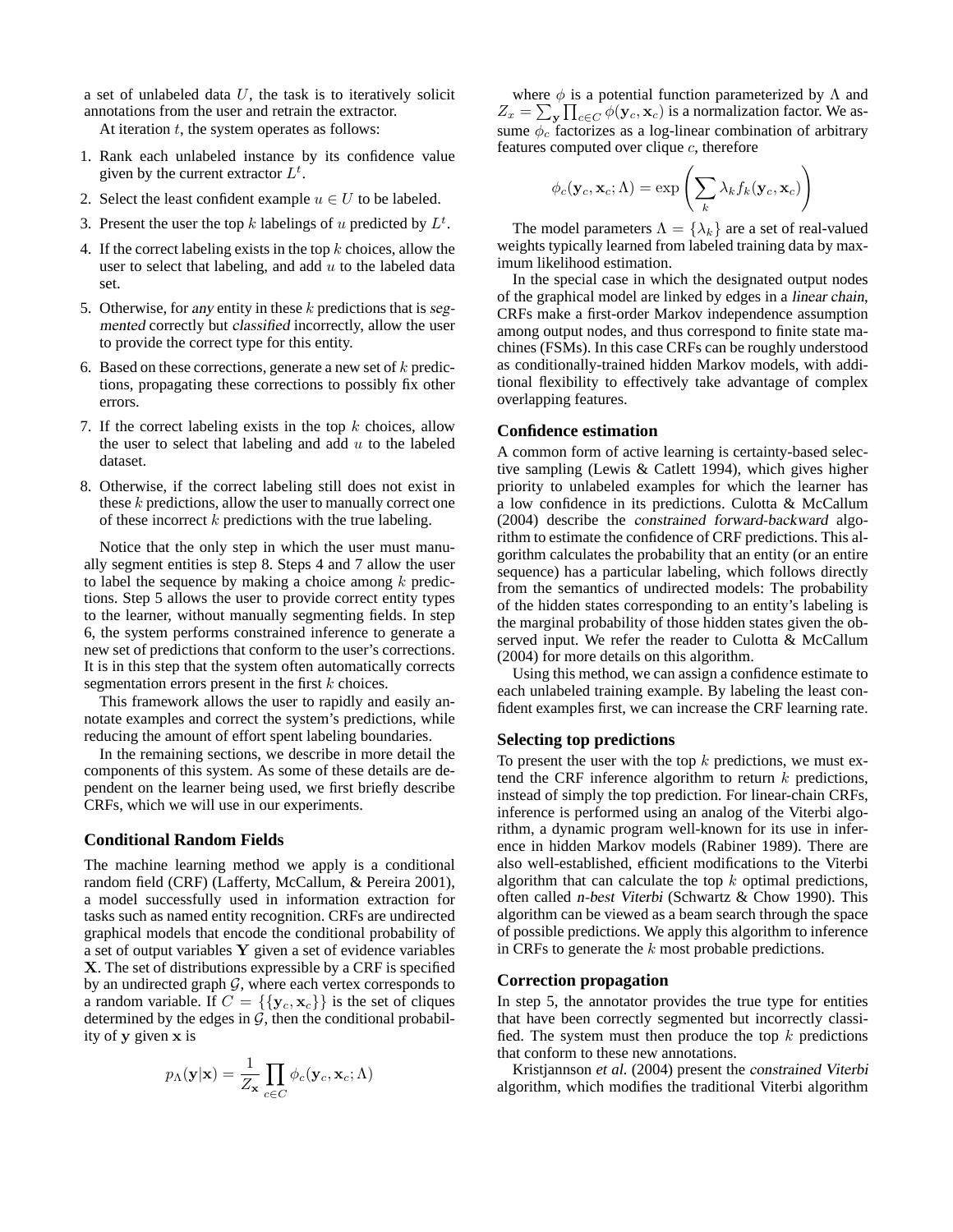a set of unlabeled data  $U$ , the task is to iteratively solicit annotations from the user and retrain the extractor.

At iteration  $t$ , the system operates as follows:

- 1. Rank each unlabeled instance by its confidence value given by the current extractor  $L^t$ .
- 2. Select the least confident example  $u \in U$  to be labeled.
- 3. Present the user the top k labelings of u predicted by  $L^t$ .
- 4. If the correct labeling exists in the top  $k$  choices, allow the user to select that labeling, and add  $u$  to the labeled data set.
- 5. Otherwise, for any entity in these  $k$  predictions that is segmented correctly but classified incorrectly, allow the user to provide the correct type for this entity.
- 6. Based on these corrections, generate a new set of  $k$  predictions, propagating these corrections to possibly fix other errors.
- 7. If the correct labeling exists in the top  $k$  choices, allow the user to select that labeling and add  $u$  to the labeled dataset.
- 8. Otherwise, if the correct labeling still does not exist in these  $k$  predictions, allow the user to manually correct one of these incorrect  $k$  predictions with the true labeling.

Notice that the only step in which the user must manually segment entities is step 8. Steps 4 and 7 allow the user to label the sequence by making a choice among  $k$  predictions. Step 5 allows the user to provide correct entity types to the learner, without manually segmenting fields. In step 6, the system performs constrained inference to generate a new set of predictions that conform to the user's corrections. It is in this step that the system often automatically corrects segmentation errors present in the first  $k$  choices.

This framework allows the user to rapidly and easily annotate examples and correct the system's predictions, while reducing the amount of effort spent labeling boundaries.

In the remaining sections, we describe in more detail the components of this system. As some of these details are dependent on the learner being used, we first briefly describe CRFs, which we will use in our experiments.

### **Conditional Random Fields**

The machine learning method we apply is a conditional random field (CRF) (Lafferty, McCallum, & Pereira 2001), a model successfully used in information extraction for tasks such as named entity recognition. CRFs are undirected graphical models that encode the conditional probability of a set of output variables Y given a set of evidence variables X. The set of distributions expressible by a CRF is specified by an undirected graph  $G$ , where each vertex corresponds to a random variable. If  $C = \{ \{y_c, x_c\} \}$  is the set of cliques determined by the edges in  $\mathcal{G}$ , then the conditional probability of y given x is

$$
p_{\Lambda}(\mathbf{y}|\mathbf{x}) = \frac{1}{Z_{\mathbf{x}}} \prod_{c \in C} \phi_c(\mathbf{y}_c, \mathbf{x}_c; \Lambda)
$$

where  $\phi$  is a potential function parameterized by  $\Lambda$  and  $Z_x = \sum_{\mathbf{y}} \prod_{c \in C} \phi(\mathbf{y}_c, \mathbf{x}_c)$  is a normalization factor. We assume  $\phi_c$  factorizes as a log-linear combination of arbitrary features computed over clique  $c$ , therefore

$$
\phi_c(\mathbf{y}_c, \mathbf{x}_c; \Lambda) = \exp\left(\sum_k \lambda_k f_k(\mathbf{y}_c, \mathbf{x}_c)\right)
$$

The model parameters  $\Lambda = {\lambda_k}$  are a set of real-valued weights typically learned from labeled training data by maximum likelihood estimation.

In the special case in which the designated output nodes of the graphical model are linked by edges in a linear chain, CRFs make a first-order Markov independence assumption among output nodes, and thus correspond to finite state machines (FSMs). In this case CRFs can be roughly understood as conditionally-trained hidden Markov models, with additional flexibility to effectively take advantage of complex overlapping features.

#### **Confidence estimation**

A common form of active learning is certainty-based selective sampling (Lewis & Catlett 1994), which gives higher priority to unlabeled examples for which the learner has a low confidence in its predictions. Culotta & McCallum (2004) describe the constrained forward-backward algorithm to estimate the confidence of CRF predictions. This algorithm calculates the probability that an entity (or an entire sequence) has a particular labeling, which follows directly from the semantics of undirected models: The probability of the hidden states corresponding to an entity's labeling is the marginal probability of those hidden states given the observed input. We refer the reader to Culotta & McCallum (2004) for more details on this algorithm.

Using this method, we can assign a confidence estimate to each unlabeled training example. By labeling the least confident examples first, we can increase the CRF learning rate.

## **Selecting top predictions**

To present the user with the top  $k$  predictions, we must extend the CRF inference algorithm to return  $k$  predictions, instead of simply the top prediction. For linear-chain CRFs, inference is performed using an analog of the Viterbi algorithm, a dynamic program well-known for its use in inference in hidden Markov models (Rabiner 1989). There are also well-established, efficient modifications to the Viterbi algorithm that can calculate the top  $k$  optimal predictions, often called n-best Viterbi (Schwartz & Chow 1990). This algorithm can be viewed as a beam search through the space of possible predictions. We apply this algorithm to inference in CRFs to generate the  $k$  most probable predictions.

#### **Correction propagation**

In step 5, the annotator provides the true type for entities that have been correctly segmented but incorrectly classified. The system must then produce the top  $k$  predictions that conform to these new annotations.

Kristjannson *et al.* (2004) present the constrained Viterbi algorithm, which modifies the traditional Viterbi algorithm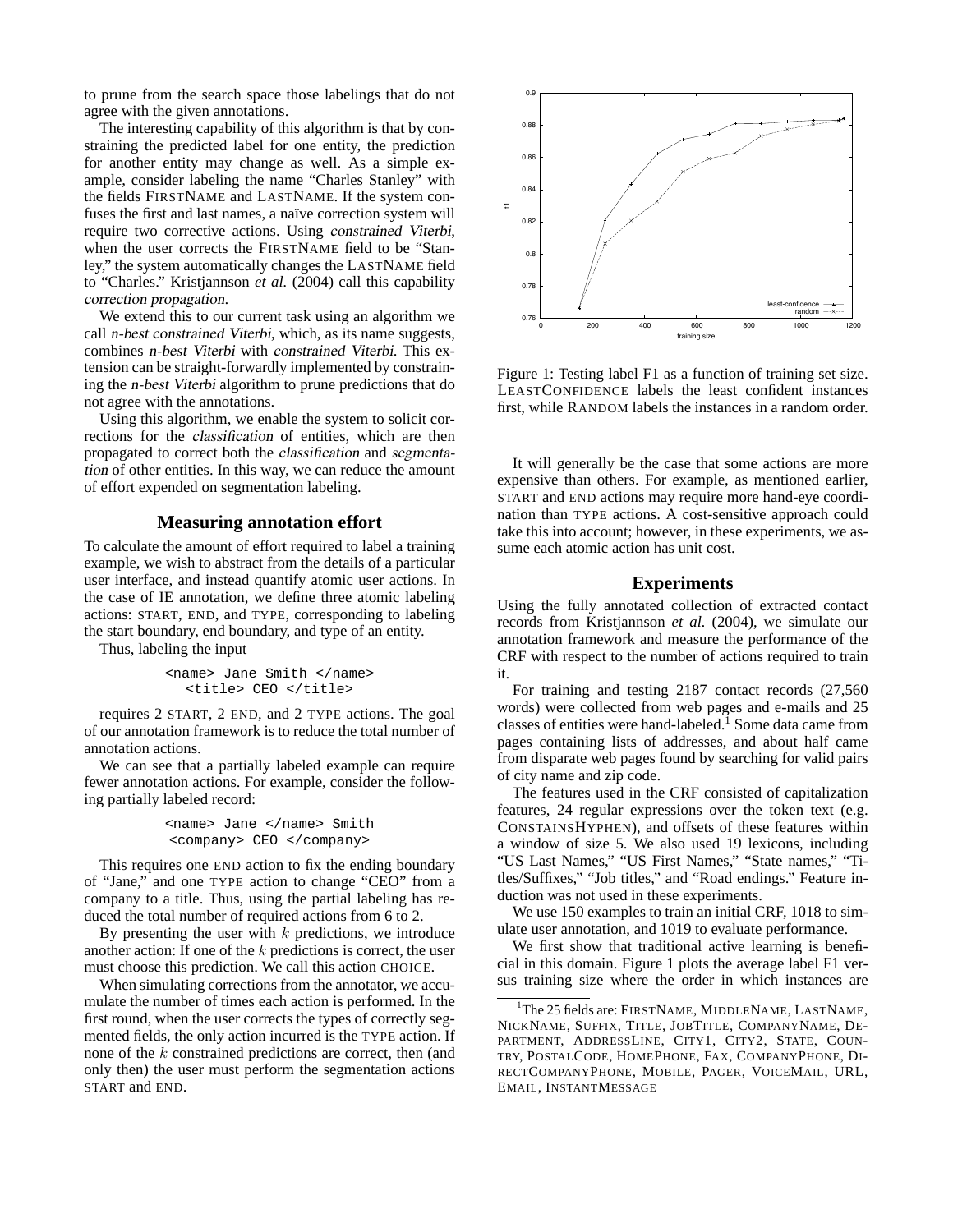to prune from the search space those labelings that do not agree with the given annotations.

The interesting capability of this algorithm is that by constraining the predicted label for one entity, the prediction for another entity may change as well. As a simple example, consider labeling the name "Charles Stanley" with the fields FIRSTNAME and LASTNAME. If the system confuses the first and last names, a naïve correction system will require two corrective actions. Using constrained Viterbi, when the user corrects the FIRSTNAME field to be "Stanley," the system automatically changes the LASTNAME field to "Charles." Kristjannson *et al.* (2004) call this capability correction propagation.

We extend this to our current task using an algorithm we call n-best constrained Viterbi, which, as its name suggests, combines n-best Viterbi with constrained Viterbi. This extension can be straight-forwardly implemented by constraining the n-best Viterbi algorithm to prune predictions that do not agree with the annotations.

Using this algorithm, we enable the system to solicit corrections for the classification of entities, which are then propagated to correct both the classification and segmentation of other entities. In this way, we can reduce the amount of effort expended on segmentation labeling.

## **Measuring annotation effort**

To calculate the amount of effort required to label a training example, we wish to abstract from the details of a particular user interface, and instead quantify atomic user actions. In the case of IE annotation, we define three atomic labeling actions: START, END, and TYPE, corresponding to labeling the start boundary, end boundary, and type of an entity.

Thus, labeling the input

```
<name> Jane Smith </name>
  <title> CEO </title>
```
requires 2 START, 2 END, and 2 TYPE actions. The goal of our annotation framework is to reduce the total number of annotation actions.

We can see that a partially labeled example can require fewer annotation actions. For example, consider the following partially labeled record:

```
<name> Jane </name> Smith
<company> CEO </company>
```
This requires one END action to fix the ending boundary of "Jane," and one TYPE action to change "CEO" from a company to a title. Thus, using the partial labeling has reduced the total number of required actions from 6 to 2.

By presenting the user with  $k$  predictions, we introduce another action: If one of the  $k$  predictions is correct, the user must choose this prediction. We call this action CHOICE.

When simulating corrections from the annotator, we accumulate the number of times each action is performed. In the first round, when the user corrects the types of correctly segmented fields, the only action incurred is the TYPE action. If none of the k constrained predictions are correct, then (and only then) the user must perform the segmentation actions START and END.



Figure 1: Testing label F1 as a function of training set size. LEASTCONFIDENCE labels the least confident instances first, while RANDOM labels the instances in a random order.

It will generally be the case that some actions are more expensive than others. For example, as mentioned earlier, START and END actions may require more hand-eye coordination than TYPE actions. A cost-sensitive approach could take this into account; however, in these experiments, we assume each atomic action has unit cost.

## **Experiments**

Using the fully annotated collection of extracted contact records from Kristjannson *et al.* (2004), we simulate our annotation framework and measure the performance of the CRF with respect to the number of actions required to train it.

For training and testing 2187 contact records (27,560 words) were collected from web pages and e-mails and 25 classes of entities were hand-labeled.<sup>1</sup> Some data came from pages containing lists of addresses, and about half came from disparate web pages found by searching for valid pairs of city name and zip code.

The features used in the CRF consisted of capitalization features, 24 regular expressions over the token text (e.g. CONSTAINSHYPHEN), and offsets of these features within a window of size 5. We also used 19 lexicons, including "US Last Names," "US First Names," "State names," "Titles/Suffixes," "Job titles," and "Road endings." Feature induction was not used in these experiments.

We use 150 examples to train an initial CRF, 1018 to simulate user annotation, and 1019 to evaluate performance.

We first show that traditional active learning is beneficial in this domain. Figure 1 plots the average label F1 versus training size where the order in which instances are

<sup>&</sup>lt;sup>1</sup>The 25 fields are: FIRSTNAME, MIDDLENAME, LASTNAME, NICKNAME, SUFFIX, TITLE, JOBTITLE, COMPANYNAME, DE-PARTMENT, ADDRESSLINE, CITY1, CITY2, STATE, COUN-TRY, POSTALCODE, HOMEPHONE, FAX, COMPANYPHONE, DI-RECTCOMPANYPHONE, MOBILE, PAGER, VOICEMAIL, URL, EMAIL, INSTANTMESSAGE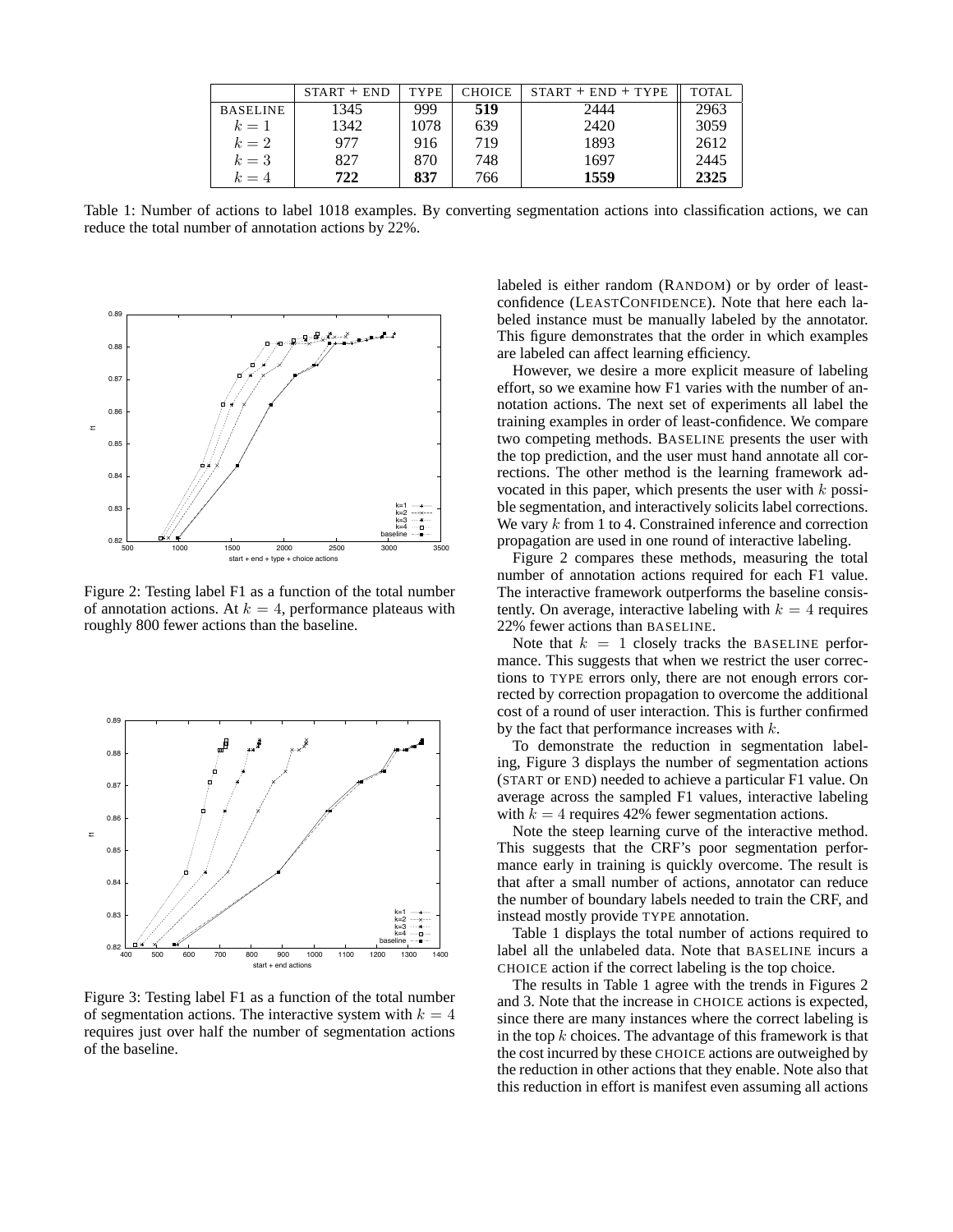|                 | $START + END$ | <b>TYPE</b> | <b>CHOICE</b> | $START + END + TYPE$ | TOTAL |
|-----------------|---------------|-------------|---------------|----------------------|-------|
| <b>BASELINE</b> | 1345          | 999         | 519           | 2444                 | 2963  |
| $k=1$           | 1342          | 1078        | 639           | 2420                 | 3059  |
| $k=2$           | 977           | 916         | 719           | 1893                 | 2612  |
| $k=3$           | 827           | 870         | 748           | 1697                 | 2445  |
| $k=4$           | 722           | 837         | 766           | 1559                 | 2325  |

Table 1: Number of actions to label 1018 examples. By converting segmentation actions into classification actions, we can reduce the total number of annotation actions by 22%.



Figure 2: Testing label F1 as a function of the total number of annotation actions. At  $k = 4$ , performance plateaus with roughly 800 fewer actions than the baseline.



Figure 3: Testing label F1 as a function of the total number of segmentation actions. The interactive system with  $k = 4$ requires just over half the number of segmentation actions of the baseline.

labeled is either random (RANDOM) or by order of leastconfidence (LEASTCONFIDENCE). Note that here each labeled instance must be manually labeled by the annotator. This figure demonstrates that the order in which examples are labeled can affect learning efficiency.

However, we desire a more explicit measure of labeling effort, so we examine how F1 varies with the number of annotation actions. The next set of experiments all label the training examples in order of least-confidence. We compare two competing methods. BASELINE presents the user with the top prediction, and the user must hand annotate all corrections. The other method is the learning framework advocated in this paper, which presents the user with  $k$  possible segmentation, and interactively solicits label corrections. We vary k from 1 to 4. Constrained inference and correction propagation are used in one round of interactive labeling.

Figure 2 compares these methods, measuring the total number of annotation actions required for each F1 value. The interactive framework outperforms the baseline consistently. On average, interactive labeling with  $k = 4$  requires 22% fewer actions than BASELINE.

Note that  $k = 1$  closely tracks the BASELINE performance. This suggests that when we restrict the user corrections to TYPE errors only, there are not enough errors corrected by correction propagation to overcome the additional cost of a round of user interaction. This is further confirmed by the fact that performance increases with k.

To demonstrate the reduction in segmentation labeling, Figure 3 displays the number of segmentation actions (START or END) needed to achieve a particular F1 value. On average across the sampled F1 values, interactive labeling with  $k = 4$  requires 42% fewer segmentation actions.

Note the steep learning curve of the interactive method. This suggests that the CRF's poor segmentation performance early in training is quickly overcome. The result is that after a small number of actions, annotator can reduce the number of boundary labels needed to train the CRF, and instead mostly provide TYPE annotation.

Table 1 displays the total number of actions required to label all the unlabeled data. Note that BASELINE incurs a CHOICE action if the correct labeling is the top choice.

The results in Table 1 agree with the trends in Figures 2 and 3. Note that the increase in CHOICE actions is expected, since there are many instances where the correct labeling is in the top  $k$  choices. The advantage of this framework is that the cost incurred by these CHOICE actions are outweighed by the reduction in other actions that they enable. Note also that this reduction in effort is manifest even assuming all actions